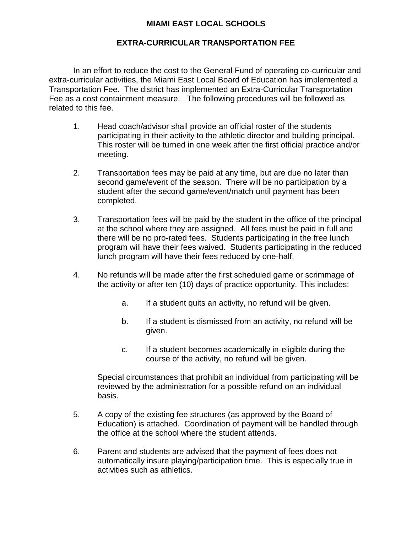# **MIAMI EAST LOCAL SCHOOLS**

## **EXTRA-CURRICULAR TRANSPORTATION FEE**

In an effort to reduce the cost to the General Fund of operating co-curricular and extra-curricular activities, the Miami East Local Board of Education has implemented a Transportation Fee. The district has implemented an Extra-Curricular Transportation Fee as a cost containment measure. The following procedures will be followed as related to this fee.

- 1. Head coach/advisor shall provide an official roster of the students participating in their activity to the athletic director and building principal. This roster will be turned in one week after the first official practice and/or meeting.
- 2. Transportation fees may be paid at any time, but are due no later than second game/event of the season. There will be no participation by a student after the second game/event/match until payment has been completed.
- 3. Transportation fees will be paid by the student in the office of the principal at the school where they are assigned. All fees must be paid in full and there will be no pro-rated fees. Students participating in the free lunch program will have their fees waived. Students participating in the reduced lunch program will have their fees reduced by one-half.
- 4. No refunds will be made after the first scheduled game or scrimmage of the activity or after ten (10) days of practice opportunity. This includes:
	- a. If a student quits an activity, no refund will be given.
	- b. If a student is dismissed from an activity, no refund will be given.
	- c. If a student becomes academically in-eligible during the course of the activity, no refund will be given.

Special circumstances that prohibit an individual from participating will be reviewed by the administration for a possible refund on an individual basis.

- 5. A copy of the existing fee structures (as approved by the Board of Education) is attached. Coordination of payment will be handled through the office at the school where the student attends.
- 6. Parent and students are advised that the payment of fees does not automatically insure playing/participation time. This is especially true in activities such as athletics.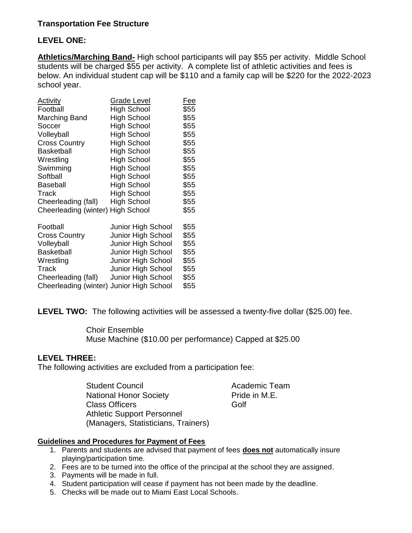# **Transportation Fee Structure**

### **LEVEL ONE:**

**Athletics/Marching Band-** High school participants will pay \$55 per activity. Middle School students will be charged \$55 per activity. A complete list of athletic activities and fees is below. An individual student cap will be \$110 and a family cap will be \$220 for the 2022-2023 school year.

| <b>Activity</b>                          | <b>Grade Level</b> | <u>Fee</u> |
|------------------------------------------|--------------------|------------|
| Football                                 | <b>High School</b> | \$55       |
| Marching Band                            | High School        | \$55       |
| Soccer                                   | High School        | \$55       |
| Volleyball                               | <b>High School</b> | \$55       |
| <b>Cross Country</b>                     | High School        | \$55       |
| Basketball                               | High School        | \$55       |
| Wrestling                                | <b>High School</b> | \$55       |
| Swimming                                 | High School        | \$55       |
| Softball                                 | High School        | \$55       |
| <b>Baseball</b>                          | <b>High School</b> | \$55       |
| Track                                    | <b>High School</b> | \$55       |
| Cheerleading (fall)                      | <b>High School</b> | \$55       |
| Cheerleading (winter) High School        |                    | \$55       |
| Football                                 | Junior High School | \$55       |
| <b>Cross Country</b>                     | Junior High School | \$55       |
| Volleyball                               | Junior High School | \$55       |
| <b>Basketball</b>                        | Junior High School | \$55       |
| Wrestling                                | Junior High School | \$55       |
| Track                                    | Junior High School | \$55       |
| Cheerleading (fall)                      | Junior High School | \$55       |
| Cheerleading (winter) Junior High School |                    | \$55       |

**LEVEL TWO:** The following activities will be assessed a twenty-five dollar (\$25.00) fee.

 Choir Ensemble Muse Machine (\$10.00 per performance) Capped at \$25.00

#### **LEVEL THREE:**

The following activities are excluded from a participation fee:

Student Council **Academic Team** National Honor Society **Pride in M.E.** Class Officers **Golf** Athletic Support Personnel (Managers, Statisticians, Trainers)

#### **Guidelines and Procedures for Payment of Fees**

- 1. Parents and students are advised that payment of fees **does not** automatically insure playing/participation time.
- 2. Fees are to be turned into the office of the principal at the school they are assigned.
- 3. Payments will be made in full.
- 4. Student participation will cease if payment has not been made by the deadline.
- 5. Checks will be made out to Miami East Local Schools.